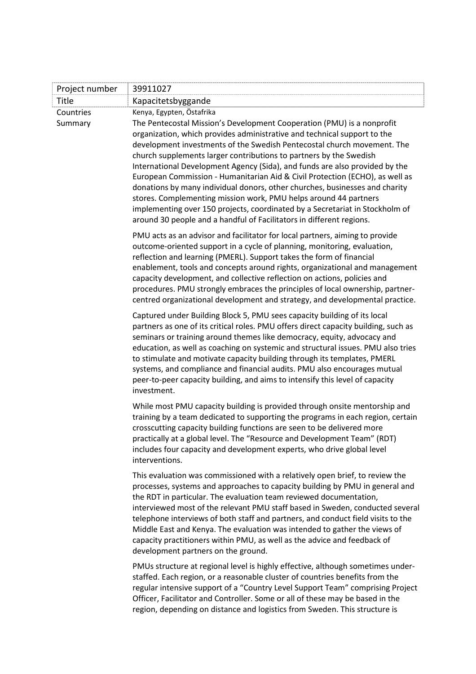| Project number       | 39911027                                                                                                                                                                                                                                                                                                                                                                                                                                                                                                                                                                                                                                                                                                                                                                                                   |
|----------------------|------------------------------------------------------------------------------------------------------------------------------------------------------------------------------------------------------------------------------------------------------------------------------------------------------------------------------------------------------------------------------------------------------------------------------------------------------------------------------------------------------------------------------------------------------------------------------------------------------------------------------------------------------------------------------------------------------------------------------------------------------------------------------------------------------------|
| Title                | Kapacitetsbyggande                                                                                                                                                                                                                                                                                                                                                                                                                                                                                                                                                                                                                                                                                                                                                                                         |
| Countries<br>Summary | Kenya, Egypten, Östafrika<br>The Pentecostal Mission's Development Cooperation (PMU) is a nonprofit<br>organization, which provides administrative and technical support to the<br>development investments of the Swedish Pentecostal church movement. The<br>church supplements larger contributions to partners by the Swedish<br>International Development Agency (Sida), and funds are also provided by the<br>European Commission - Humanitarian Aid & Civil Protection (ECHO), as well as<br>donations by many individual donors, other churches, businesses and charity<br>stores. Complementing mission work, PMU helps around 44 partners<br>implementing over 150 projects, coordinated by a Secretariat in Stockholm of<br>around 30 people and a handful of Facilitators in different regions. |
|                      | PMU acts as an advisor and facilitator for local partners, aiming to provide<br>outcome-oriented support in a cycle of planning, monitoring, evaluation,<br>reflection and learning (PMERL). Support takes the form of financial<br>enablement, tools and concepts around rights, organizational and management<br>capacity development, and collective reflection on actions, policies and<br>procedures. PMU strongly embraces the principles of local ownership, partner-<br>centred organizational development and strategy, and developmental practice.                                                                                                                                                                                                                                               |
|                      | Captured under Building Block 5, PMU sees capacity building of its local<br>partners as one of its critical roles. PMU offers direct capacity building, such as<br>seminars or training around themes like democracy, equity, advocacy and<br>education, as well as coaching on systemic and structural issues. PMU also tries<br>to stimulate and motivate capacity building through its templates, PMERL<br>systems, and compliance and financial audits. PMU also encourages mutual<br>peer-to-peer capacity building, and aims to intensify this level of capacity<br>investment.                                                                                                                                                                                                                      |
|                      | While most PMU capacity building is provided through onsite mentorship and<br>training by a team dedicated to supporting the programs in each region, certain<br>crosscutting capacity building functions are seen to be delivered more<br>practically at a global level. The "Resource and Development Team" (RDT)<br>includes four capacity and development experts, who drive global level<br>interventions.                                                                                                                                                                                                                                                                                                                                                                                            |
|                      | This evaluation was commissioned with a relatively open brief, to review the<br>processes, systems and approaches to capacity building by PMU in general and<br>the RDT in particular. The evaluation team reviewed documentation,<br>interviewed most of the relevant PMU staff based in Sweden, conducted several<br>telephone interviews of both staff and partners, and conduct field visits to the<br>Middle East and Kenya. The evaluation was intended to gather the views of<br>capacity practitioners within PMU, as well as the advice and feedback of<br>development partners on the ground.                                                                                                                                                                                                    |
|                      | PMUs structure at regional level is highly effective, although sometimes under-<br>staffed. Each region, or a reasonable cluster of countries benefits from the<br>regular intensive support of a "Country Level Support Team" comprising Project<br>Officer, Facilitator and Controller. Some or all of these may be based in the<br>region, depending on distance and logistics from Sweden. This structure is                                                                                                                                                                                                                                                                                                                                                                                           |